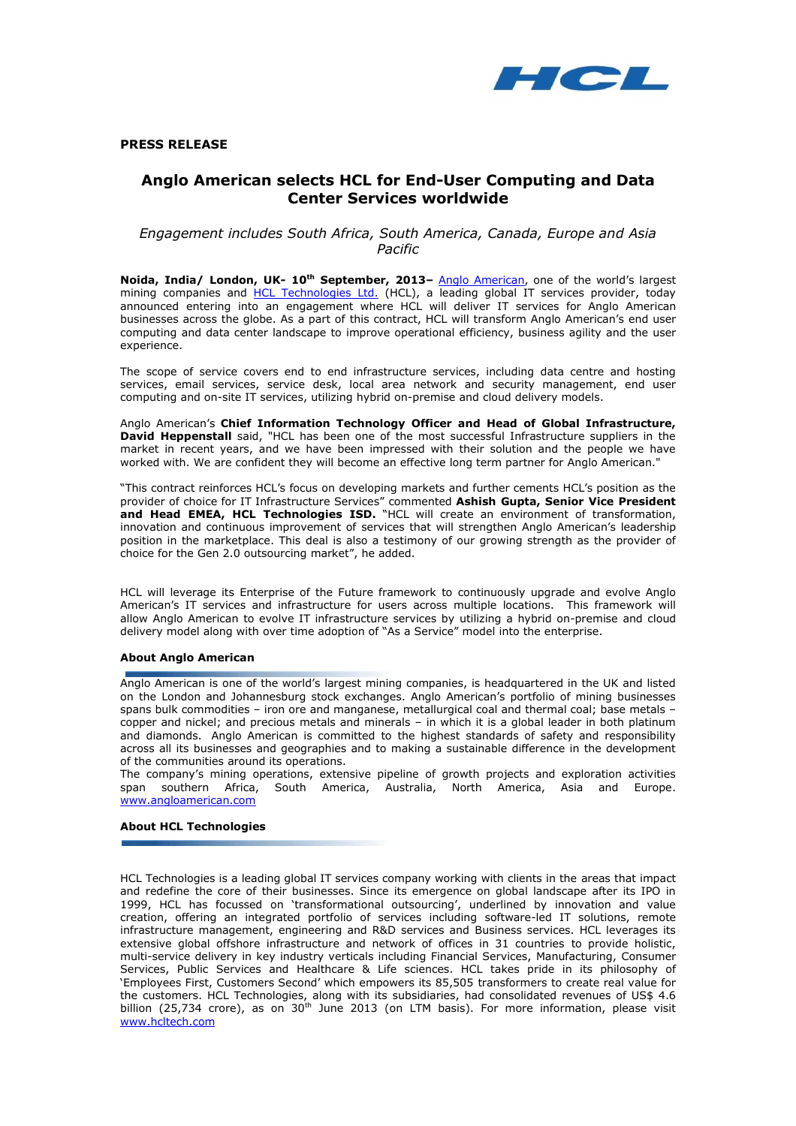

**PRESS RELEASE**

# **Anglo American selects HCL for End-User Computing and Data Center Services worldwide**

*Engagement includes South Africa, South America, Canada, Europe and Asia Pacific*

**Noida, India/ London, UK- 10th September, 2013–** [Anglo American](http://www.angloamerican.com/), one of the world"s largest mining companies and [HCL Technologies Ltd.](http://www.hcltech.com/) (HCL), a leading global IT services provider, today announced entering into an engagement where HCL will deliver IT services for Anglo American businesses across the globe. As a part of this contract, HCL will transform Anglo American's end user computing and data center landscape to improve operational efficiency, business agility and the user experience.

The scope of service covers end to end infrastructure services, including data centre and hosting services, email services, service desk, local area network and security management, end user computing and on-site IT services, utilizing hybrid on-premise and cloud delivery models.

Anglo American"s **Chief Information Technology Officer and Head of Global Infrastructure, David Heppenstall** said, "HCL has been one of the most successful Infrastructure suppliers in the market in recent years, and we have been impressed with their solution and the people we have worked with. We are confident they will become an effective long term partner for Anglo American."

"This contract reinforces HCL"s focus on developing markets and further cements HCL"s position as the provider of choice for IT Infrastructure Services" commented **Ashish Gupta, Senior Vice President and Head EMEA, HCL Technologies ISD.** "HCL will create an environment of transformation, innovation and continuous improvement of services that will strengthen Anglo American"s leadership position in the marketplace. This deal is also a testimony of our growing strength as the provider of choice for the Gen 2.0 outsourcing market", he added.

HCL will leverage its Enterprise of the Future framework to continuously upgrade and evolve Anglo American"s IT services and infrastructure for users across multiple locations. This framework will allow Anglo American to evolve IT infrastructure services by utilizing a hybrid on-premise and cloud delivery model along with over time adoption of "As a Service" model into the enterprise.

# **About Anglo American**

Anglo American is one of the world"s largest mining companies, is headquartered in the UK and listed on the London and Johannesburg stock exchanges. Anglo American"s portfolio of mining businesses spans bulk commodities – iron ore and manganese, metallurgical coal and thermal coal; base metals – copper and nickel; and precious metals and minerals – in which it is a global leader in both platinum and diamonds. Anglo American is committed to the highest standards of safety and responsibility across all its businesses and geographies and to making a sustainable difference in the development of the communities around its operations.

The company's mining operations, extensive pipeline of growth projects and exploration activities span southern Africa, South America, Australia, North America, Asia and Europe. [www.angloamerican.com](http://www.angloamerican.com/)

## **About HCL Technologies**

HCL Technologies is a leading global IT services company working with clients in the areas that impact and redefine the core of their businesses. Since its emergence on global landscape after its IPO in 1999, HCL has focussed on "transformational outsourcing", underlined by innovation and value creation, offering an integrated portfolio of services including software-led IT solutions, remote infrastructure management, engineering and R&D services and Business services. HCL leverages its extensive global offshore infrastructure and network of offices in 31 countries to provide holistic, multi-service delivery in key industry verticals including Financial Services, Manufacturing, Consumer Services, Public Services and Healthcare & Life sciences. HCL takes pride in its philosophy of "Employees First, Customers Second" which empowers its 85,505 transformers to create real value for the customers. HCL Technologies, along with its subsidiaries, had consolidated revenues of US\$ 4.6 billion (25,734 crore), as on 30<sup>th</sup> June 2013 (on LTM basis). For more information, please visit [www.hcltech.com](http://www.hcltech.com/)